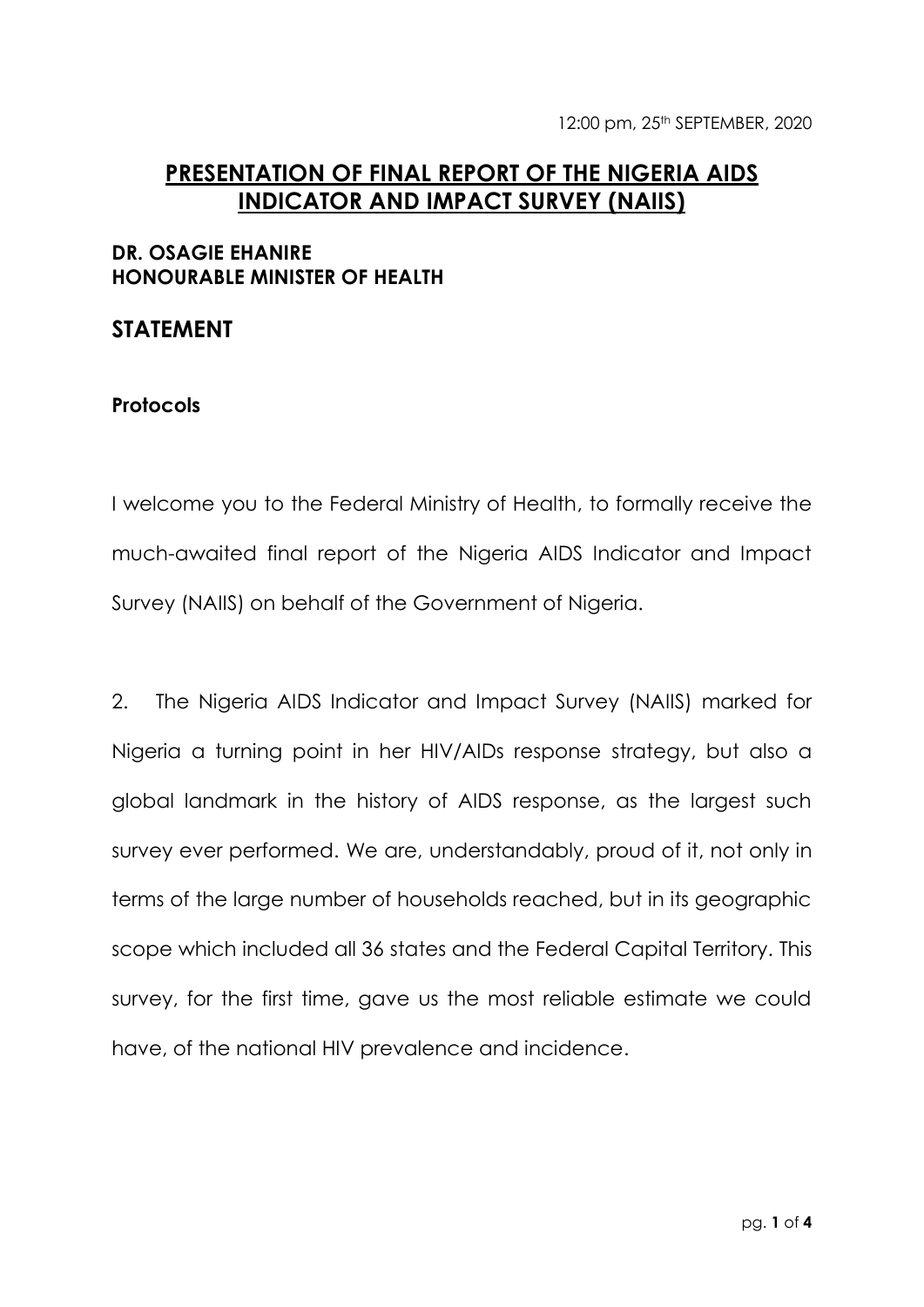## **PRESENTATION OF FINAL REPORT OF THE NIGERIA AIDS INDICATOR AND IMPACT SURVEY (NAIIS)**

## **DR. OSAGIE EHANIRE HONOURABLE MINISTER OF HEALTH**

## **STATEMENT**

## **Protocols**

I welcome you to the Federal Ministry of Health, to formally receive the much-awaited final report of the Nigeria AIDS Indicator and Impact Survey (NAIIS) on behalf of the Government of Nigeria.

2. The Nigeria AIDS Indicator and Impact Survey (NAIIS) marked for Nigeria a turning point in her HIV/AIDs response strategy, but also a global landmark in the history of AIDS response, as the largest such survey ever performed. We are, understandably, proud of it, not only in terms of the large number of households reached, but in its geographic scope which included all 36 states and the Federal Capital Territory. This survey, for the first time, gave us the most reliable estimate we could have, of the national HIV prevalence and incidence.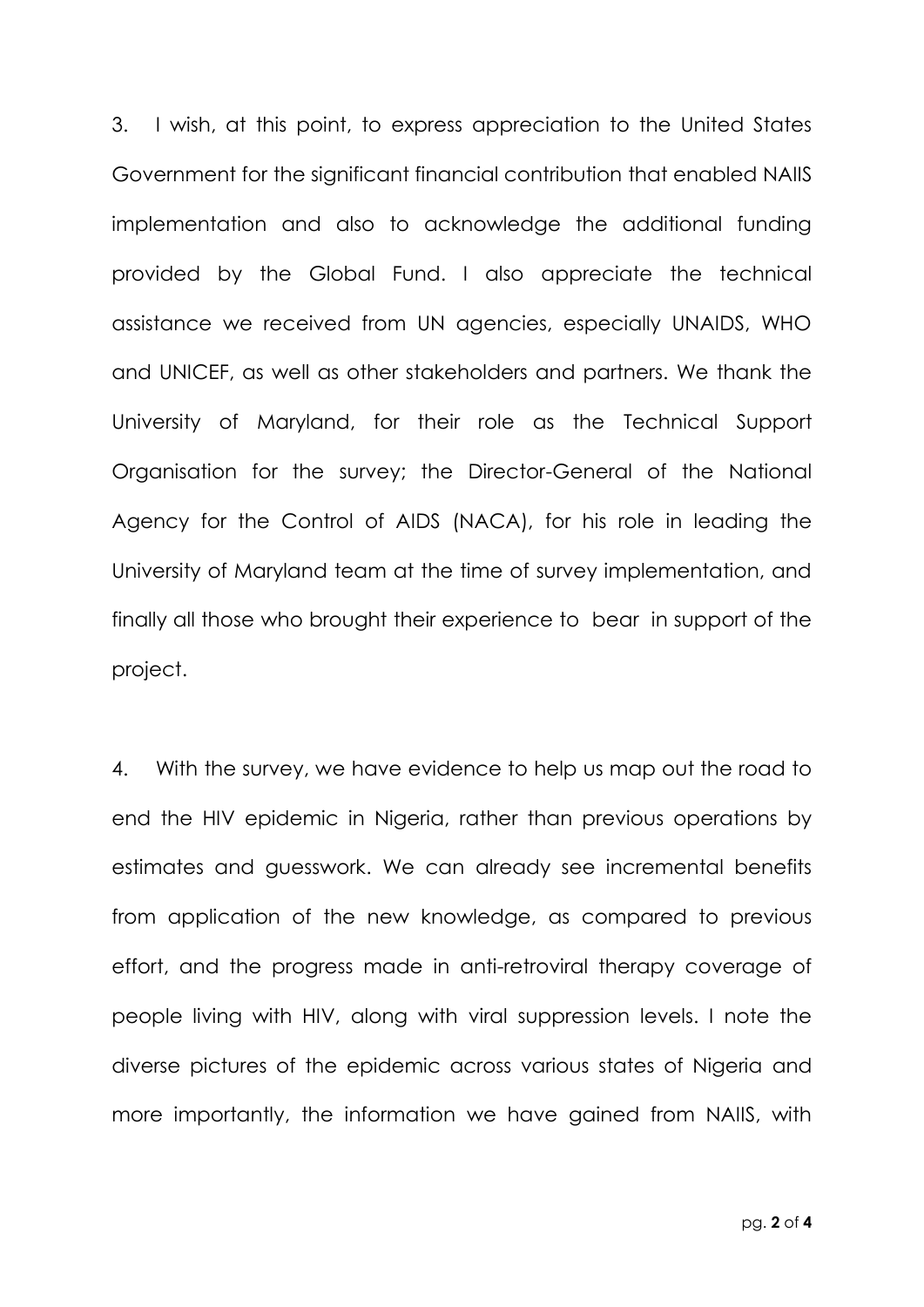3. I wish, at this point, to express appreciation to the United States Government for the significant financial contribution that enabled NAIIS implementation and also to acknowledge the additional funding provided by the Global Fund. I also appreciate the technical assistance we received from UN agencies, especially UNAIDS, WHO and UNICEF, as well as other stakeholders and partners. We thank the University of Maryland, for their role as the Technical Support Organisation for the survey; the Director-General of the National Agency for the Control of AIDS (NACA), for his role in leading the University of Maryland team at the time of survey implementation, and finally all those who brought their experience to bear in support of the project.

4. With the survey, we have evidence to help us map out the road to end the HIV epidemic in Nigeria, rather than previous operations by estimates and guesswork. We can already see incremental benefits from application of the new knowledge, as compared to previous effort, and the progress made in anti-retroviral therapy coverage of people living with HIV, along with viral suppression levels. I note the diverse pictures of the epidemic across various states of Nigeria and more importantly, the information we have gained from NAIIS, with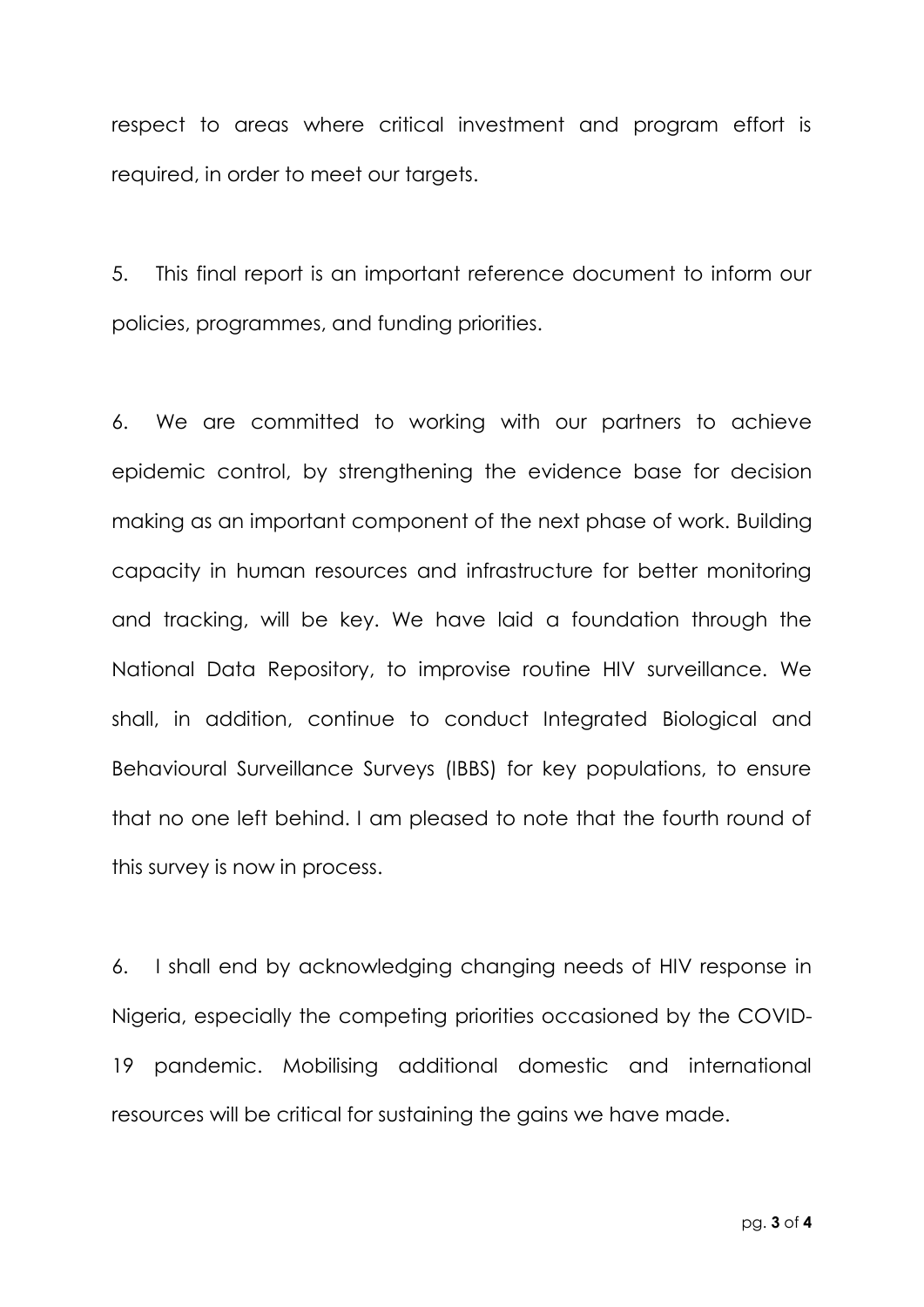respect to areas where critical investment and program effort is required, in order to meet our targets.

5. This final report is an important reference document to inform our policies, programmes, and funding priorities.

6. We are committed to working with our partners to achieve epidemic control, by strengthening the evidence base for decision making as an important component of the next phase of work. Building capacity in human resources and infrastructure for better monitoring and tracking, will be key. We have laid a foundation through the National Data Repository, to improvise routine HIV surveillance. We shall, in addition, continue to conduct Integrated Biological and Behavioural Surveillance Surveys (IBBS) for key populations, to ensure that no one left behind. I am pleased to note that the fourth round of this survey is now in process.

6. I shall end by acknowledging changing needs of HIV response in Nigeria, especially the competing priorities occasioned by the COVID-19 pandemic. Mobilising additional domestic and international resources will be critical for sustaining the gains we have made.